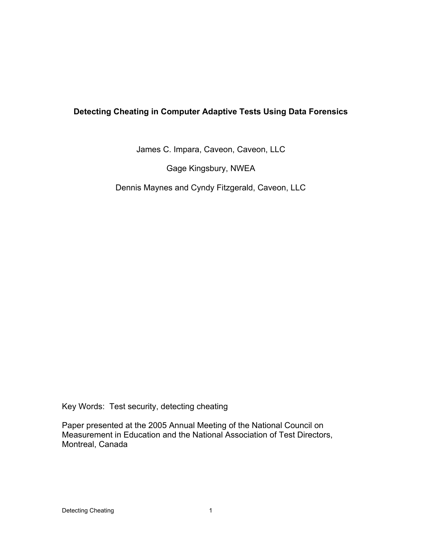# **Detecting Cheating in Computer Adaptive Tests Using Data Forensics**

James C. Impara, Caveon, Caveon, LLC

Gage Kingsbury, NWEA

Dennis Maynes and Cyndy Fitzgerald, Caveon, LLC

Key Words: Test security, detecting cheating

Paper presented at the 2005 Annual Meeting of the National Council on Measurement in Education and the National Association of Test Directors, Montreal, Canada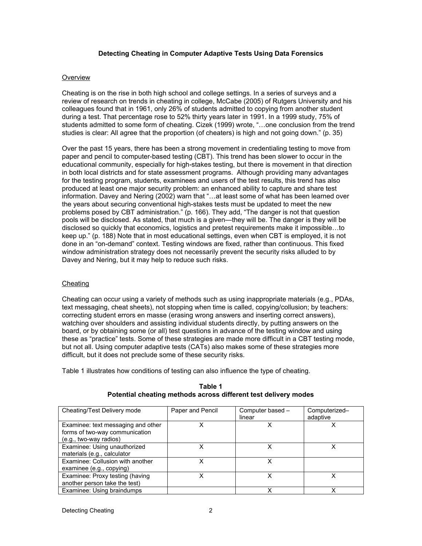# **Detecting Cheating in Computer Adaptive Tests Using Data Forensics**

#### **Overview**

Cheating is on the rise in both high school and college settings. In a series of surveys and a review of research on trends in cheating in college, McCabe (2005) of Rutgers University and his colleagues found that in 1961, only 26% of students admitted to copying from another student during a test. That percentage rose to 52% thirty years later in 1991. In a 1999 study, 75% of students admitted to some form of cheating. Cizek (1999) wrote, "…one conclusion from the trend studies is clear: All agree that the proportion (of cheaters) is high and not going down." (p. 35)

Over the past 15 years, there has been a strong movement in credentialing testing to move from paper and pencil to computer-based testing (CBT). This trend has been slower to occur in the educational community, especially for high-stakes testing, but there is movement in that direction in both local districts and for state assessment programs. Although providing many advantages for the testing program, students, examinees and users of the test results, this trend has also produced at least one major security problem: an enhanced ability to capture and share test information. Davey and Nering (2002) warn that "…at least some of what has been learned over the years about securing conventional high-stakes tests must be updated to meet the new problems posed by CBT administration." (p. 166). They add, "The danger is not that question pools will be disclosed. As stated, that much is a given—they will be. The danger is they will be disclosed so quickly that economics, logistics and pretest requirements make it impossible…to keep up." (p. 188) Note that in most educational settings, even when CBT is employed, it is not done in an "on-demand" context. Testing windows are fixed, rather than continuous. This fixed window administration strategy does not necessarily prevent the security risks alluded to by Davey and Nering, but it may help to reduce such risks.

## **Cheating**

Cheating can occur using a variety of methods such as using inappropriate materials (e.g., PDAs, text messaging, cheat sheets), not stopping when time is called, copying/collusion; by teachers: correcting student errors en masse (erasing wrong answers and inserting correct answers), watching over shoulders and assisting individual students directly, by putting answers on the board, or by obtaining some (or all) test questions in advance of the testing window and using these as "practice" tests. Some of these strategies are made more difficult in a CBT testing mode, but not all. Using computer adaptive tests (CATs) also makes some of these strategies more difficult, but it does not preclude some of these security risks.

Table 1 illustrates how conditions of testing can also influence the type of cheating.

| Cheating/Test Delivery mode        | Paper and Pencil | Computer based - | Computerized- |
|------------------------------------|------------------|------------------|---------------|
|                                    |                  | linear           | adaptive      |
|                                    |                  |                  |               |
| Examinee: text messaging and other |                  | x                |               |
| forms of two-way communication     |                  |                  |               |
| (e.g., two-way radios)             |                  |                  |               |
| Examinee: Using unauthorized       |                  | x                |               |
| materials (e.g., calculator        |                  |                  |               |
| Examinee: Collusion with another   | x                | x                |               |
| examinee (e.g., copying)           |                  |                  |               |
| Examinee: Proxy testing (having    |                  | x                |               |
| another person take the test)      |                  |                  |               |
| Examinee: Using braindumps         |                  | x                |               |

#### **Table 1 Potential cheating methods across different test delivery modes**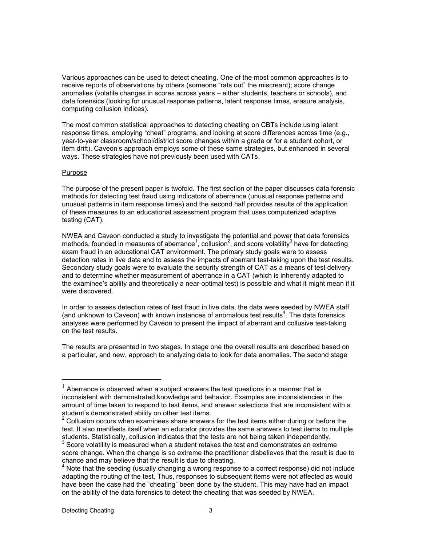Various approaches can be used to detect cheating. One of the most common approaches is to receive reports of observations by others (someone "rats out" the miscreant); score change anomalies (volatile changes in scores across years – either students, teachers or schools), and data forensics (looking for unusual response patterns, latent response times, erasure analysis, computing collusion indices).

The most common statistical approaches to detecting cheating on CBTs include using latent response times, employing "cheat" programs, and looking at score differences across time (e.g., year-to-year classroom/school/district score changes within a grade or for a student cohort, or item drift). Caveon's approach employs some of these same strategies, but enhanced in several ways. These strategies have not previously been used with CATs.

## Purpose

The purpose of the present paper is twofold. The first section of the paper discusses data forensic methods for detecting test fraud using indicators of aberrance (unusual response patterns and unusual patterns in item response times) and the second half provides results of the application of these measures to an educational assessment program that uses computerized adaptive testing (CAT).

NWEA and Caveon conducted a study to investigate the potential and power that data forensics methods, founded in measures of aberrance<sup>1</sup>, collusion<sup>2</sup>, and score volatility<sup>3</sup> have for detecting exam fraud in an educational CAT environment. The primary study goals were to assess detection rates in live data and to assess the impacts of aberrant test-taking upon the test results. Secondary study goals were to evaluate the security strength of CAT as a means of test delivery and to determine whether measurement of aberrance in a CAT (which is inherently adapted to the examinee's ability and theoretically a near-optimal test) is possible and what it might mean if it were discovered.

In order to assess detection rates of test fraud in live data, the data were seeded by NWEA staff (and unknown to Caveon) with known instances of anomalous test results<sup>4</sup>. The data forensics analyses were performed by Caveon to present the impact of aberrant and collusive test-taking on the test results.

The results are presented in two stages. In stage one the overall results are described based on a particular, and new, approach to analyzing data to look for data anomalies. The second stage

 $1$  Aberrance is observed when a subject answers the test questions in a manner that is inconsistent with demonstrated knowledge and behavior. Examples are inconsistencies in the amount of time taken to respond to test items, and answer selections that are inconsistent with a student's demonstrated ability on other test items.<br><sup>2</sup> Cellugian acquire urban overninges abore apougn

Collusion occurs when examinees share answers for the test items either during or before the test. It also manifests itself when an educator provides the same answers to test items to multiple students. Statistically, collusion indicates that the tests are not being taken independently. 3

Score volatility is measured when a student retakes the test and demonstrates an extreme score change. When the change is so extreme the practitioner disbelieves that the result is due to chance and may believe that the result is due to cheating.

<sup>&</sup>lt;sup>4</sup> Note that the seeding (usually changing a wrong response to a correct response) did not include adapting the routing of the test. Thus, responses to subsequent items were not affected as would have been the case had the "cheating" been done by the student. This may have had an impact on the ability of the data forensics to detect the cheating that was seeded by NWEA.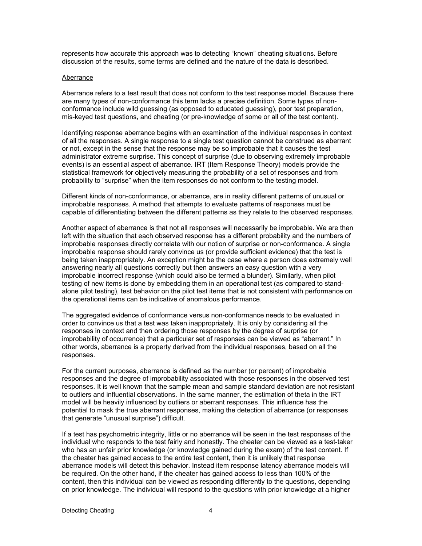represents how accurate this approach was to detecting "known" cheating situations. Before discussion of the results, some terms are defined and the nature of the data is described.

#### Aberrance

Aberrance refers to a test result that does not conform to the test response model. Because there are many types of non-conformance this term lacks a precise definition. Some types of nonconformance include wild guessing (as opposed to educated guessing), poor test preparation, mis-keyed test questions, and cheating (or pre-knowledge of some or all of the test content).

Identifying response aberrance begins with an examination of the individual responses in context of all the responses. A single response to a single test question cannot be construed as aberrant or not, except in the sense that the response may be so improbable that it causes the test administrator extreme surprise. This concept of surprise (due to observing extremely improbable events) is an essential aspect of aberrance. IRT (Item Response Theory) models provide the statistical framework for objectively measuring the probability of a set of responses and from probability to "surprise" when the item responses do not conform to the testing model.

Different kinds of non-conformance, or aberrance, are in reality different patterns of unusual or improbable responses. A method that attempts to evaluate patterns of responses must be capable of differentiating between the different patterns as they relate to the observed responses.

Another aspect of aberrance is that not all responses will necessarily be improbable. We are then left with the situation that each observed response has a different probability and the numbers of improbable responses directly correlate with our notion of surprise or non-conformance. A single improbable response should rarely convince us (or provide sufficient evidence) that the test is being taken inappropriately. An exception might be the case where a person does extremely well answering nearly all questions correctly but then answers an easy question with a very improbable incorrect response (which could also be termed a blunder). Similarly, when pilot testing of new items is done by embedding them in an operational test (as compared to standalone pilot testing), test behavior on the pilot test items that is not consistent with performance on the operational items can be indicative of anomalous performance.

The aggregated evidence of conformance versus non-conformance needs to be evaluated in order to convince us that a test was taken inappropriately. It is only by considering all the responses in context and then ordering those responses by the degree of surprise (or improbability of occurrence) that a particular set of responses can be viewed as "aberrant." In other words, aberrance is a property derived from the individual responses, based on all the responses.

For the current purposes, aberrance is defined as the number (or percent) of improbable responses and the degree of improbability associated with those responses in the observed test responses. It is well known that the sample mean and sample standard deviation are not resistant to outliers and influential observations. In the same manner, the estimation of theta in the IRT model will be heavily influenced by outliers or aberrant responses. This influence has the potential to mask the true aberrant responses, making the detection of aberrance (or responses that generate "unusual surprise") difficult.

If a test has psychometric integrity, little or no aberrance will be seen in the test responses of the individual who responds to the test fairly and honestly. The cheater can be viewed as a test-taker who has an unfair prior knowledge (or knowledge gained during the exam) of the test content. If the cheater has gained access to the entire test content, then it is unlikely that response aberrance models will detect this behavior. Instead item response latency aberrance models will be required. On the other hand, if the cheater has gained access to less than 100% of the content, then this individual can be viewed as responding differently to the questions, depending on prior knowledge. The individual will respond to the questions with prior knowledge at a higher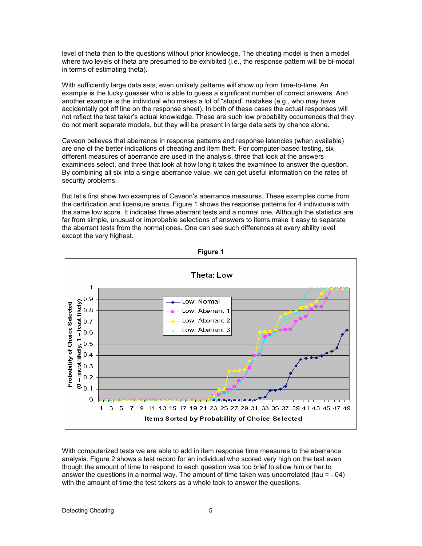level of theta than to the questions without prior knowledge. The cheating model is then a model where two levels of theta are presumed to be exhibited (i.e., the response pattern will be bi-modal in terms of estimating theta).

With sufficiently large data sets, even unlikely patterns will show up from time-to-time. An example is the lucky guesser who is able to guess a significant number of correct answers. And another example is the individual who makes a lot of "stupid" mistakes (e.g., who may have accidentally got off line on the response sheet). In both of these cases the actual responses will not reflect the test taker's actual knowledge. These are such low probability occurrences that they do not merit separate models, but they will be present in large data sets by chance alone.

Caveon believes that aberrance in response patterns and response latencies (when available) are one of the better indications of cheating and item theft. For computer-based testing, six different measures of aberrance are used in the analysis, three that look at the answers examinees select, and three that look at how long it takes the examinee to answer the question. By combining all six into a single aberrance value, we can get useful information on the rates of security problems.

But let's first show two examples of Caveon's aberrance measures. These examples come from the certification and licensure arena. Figure 1 shows the response patterns for 4 individuals with the same low score. It indicates three aberrant tests and a normal one. Although the statistics are far from simple, unusual or improbable selections of answers to items make it easy to separate the aberrant tests from the normal ones. One can see such differences at every ability level except the very highest.



**Figure 1**

With computerized tests we are able to add in item response time measures to the aberrance analysis. Figure 2 shows a test record for an individual who scored very high on the test even though the amount of time to respond to each question was too brief to allow him or her to answer the questions in a normal way. The amount of time taken was uncorrelated (tau  $= -04$ ) with the amount of time the test takers as a whole took to answer the questions.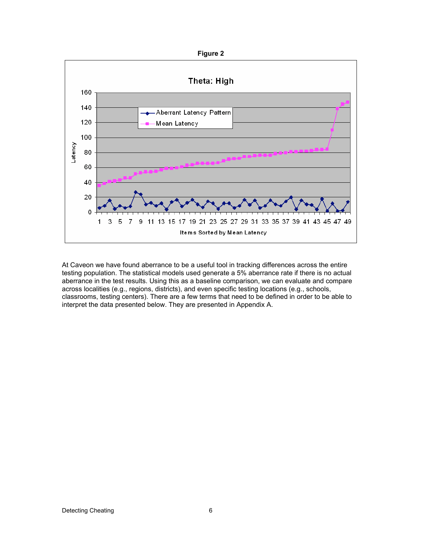

At Caveon we have found aberrance to be a useful tool in tracking differences across the entire testing population. The statistical models used generate a 5% aberrance rate if there is no actual aberrance in the test results. Using this as a baseline comparison, we can evaluate and compare across localities (e.g., regions, districts), and even specific testing locations (e.g., schools, classrooms, testing centers). There are a few terms that need to be defined in order to be able to interpret the data presented below. They are presented in Appendix A.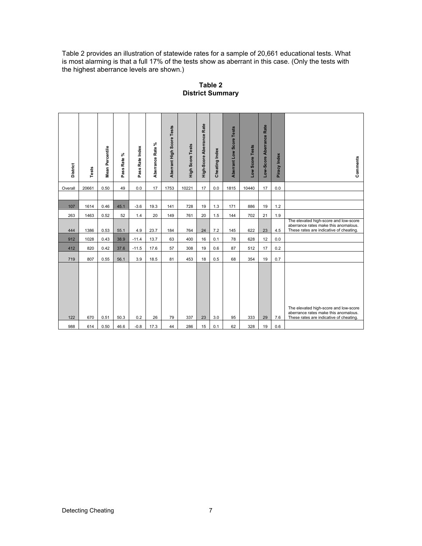Table 2 provides an illustration of statewide rates for a sample of 20,661 educational tests. What is most alarming is that a full 17% of the tests show as aberrant in this case. (Only the tests with the highest aberrance levels are shown.)

| District   | Tests      | Mean Percentile | Pass Rate %  | Pass Rate Index | Aberrance Rate % | Aberrant High Score Tests | <b>High Score Tests</b> | High-Score Aberrance Rate | Index<br>Cheating | Aberrant Low Score Tests | Low Score Tests | Low-Score Aberrance Rate | Piracy Index | Comments                                                                                                                 |
|------------|------------|-----------------|--------------|-----------------|------------------|---------------------------|-------------------------|---------------------------|-------------------|--------------------------|-----------------|--------------------------|--------------|--------------------------------------------------------------------------------------------------------------------------|
| Overall    | 20661      | 0.50            | 49           | 0.0             | 17               | 1753                      | 10221                   | 17                        | 0.0               | 1815                     | 10440           | 17                       | 0.0          |                                                                                                                          |
|            |            |                 |              |                 |                  |                           |                         |                           |                   |                          |                 |                          |              |                                                                                                                          |
| 107        | 1614       | 0.46            | 45.1         | $-3.6$          | 19.3             | 141                       | 728                     | 19                        | 1.3               | 171                      | 886             | 19                       | 1.2          |                                                                                                                          |
| 263        | 1463       | 0.52            | 52           | 1.4             | 20               | 149                       | 761                     | 20                        | 1.5               | 144                      | 702             | 21                       | 1.9          |                                                                                                                          |
| 444        | 1386       | 0.53            | 55.1         | 4.9             | 23.7             | 184                       | 764                     | 24                        | 7.2               | 145                      | 622             | 23                       | 4.5          | The elevated high-score and low-score<br>aberrance rates make this anomalous.<br>These rates are indicative of cheating. |
| 912        | 1028       | 0.43            | 38.9         | $-11.4$         | 13.7             | 63                        | 400                     | 16                        | 0.1               | 78                       | 628             | 12                       | 0.0          |                                                                                                                          |
| 412        | 820        | 0.42            | 37.6         | $-11.5$         | 17.6             | 57                        | 308                     | 19                        | 0.6               | 87                       | 512             | 17                       | 0.2          |                                                                                                                          |
| 719        | 807        | 0.55            | 56.1         | 3.9             | 18.5             | 81                        | 453                     | 18                        | 0.5               | 68                       | 354             | 19                       | 0.7          |                                                                                                                          |
| 122<br>988 | 670<br>614 | 0.51<br>0.50    | 50.3<br>46.6 | 0.2<br>$-0.8$   | 26<br>17.3       | 79<br>44                  | 337<br>286              | 23<br>15                  | 3.0<br>0.1        | 95<br>62                 | 333<br>328      | 29<br>19                 | 7.6<br>0.6   | The elevated high-score and low-score<br>aberrance rates make this anomalous.<br>These rates are indicative of cheating. |

**Table 2 District Summary**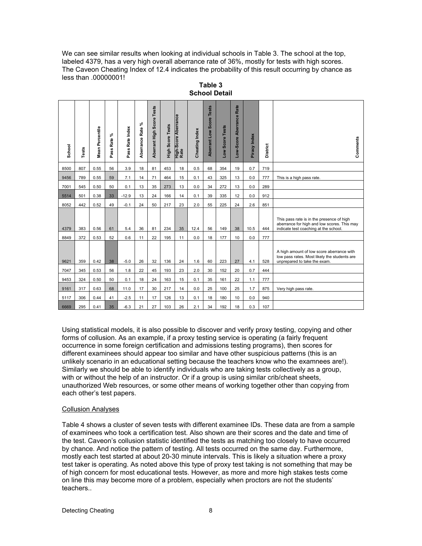We can see similar results when looking at individual schools in Table 3. The school at the top, labeled 4379, has a very high overall aberrance rate of 36%, mostly for tests with high scores. The Caveon Cheating Index of 12.4 indicates the probability of this result occurring by chance as less than .00000001!

| School                                                                                                                                                                                                                                                                                                                                                                                                                                                                                                                                                                                                                                                                                                                                                                                                                                                                                                                                         | Tests                                                                                                                                                                                                                                                                                                                                                                                                                                                                                                                                                                                                                                                                                                                                                                                                                                                             | Mean Percentile | వి<br>Rate<br>Pass | Pass Rate Index | వి<br>Aberrance Rate | Score Tests<br>Aberrant High | <b>High Score Tests</b> | High-Score Aberrance<br>Rate | Cheating Index | Aberrant Low Score Tests | Low Score Tests | Rate<br>Low-Score Aberrance | Piracy Index | District   | Comments                                                                                                                          |
|------------------------------------------------------------------------------------------------------------------------------------------------------------------------------------------------------------------------------------------------------------------------------------------------------------------------------------------------------------------------------------------------------------------------------------------------------------------------------------------------------------------------------------------------------------------------------------------------------------------------------------------------------------------------------------------------------------------------------------------------------------------------------------------------------------------------------------------------------------------------------------------------------------------------------------------------|-------------------------------------------------------------------------------------------------------------------------------------------------------------------------------------------------------------------------------------------------------------------------------------------------------------------------------------------------------------------------------------------------------------------------------------------------------------------------------------------------------------------------------------------------------------------------------------------------------------------------------------------------------------------------------------------------------------------------------------------------------------------------------------------------------------------------------------------------------------------|-----------------|--------------------|-----------------|----------------------|------------------------------|-------------------------|------------------------------|----------------|--------------------------|-----------------|-----------------------------|--------------|------------|-----------------------------------------------------------------------------------------------------------------------------------|
| 8500                                                                                                                                                                                                                                                                                                                                                                                                                                                                                                                                                                                                                                                                                                                                                                                                                                                                                                                                           | 807                                                                                                                                                                                                                                                                                                                                                                                                                                                                                                                                                                                                                                                                                                                                                                                                                                                               | 0.55            | 56                 | 3.9             | 18                   | 81                           | 453                     | 18                           | 0.5            | 68                       | 354             | 19                          | 0.7          | 719        |                                                                                                                                   |
| 9456                                                                                                                                                                                                                                                                                                                                                                                                                                                                                                                                                                                                                                                                                                                                                                                                                                                                                                                                           | 789                                                                                                                                                                                                                                                                                                                                                                                                                                                                                                                                                                                                                                                                                                                                                                                                                                                               | 0.55            | 59                 | 7.1             | 14                   | 71                           | 464                     | 15                           | 0.1            | 43                       | 325             | 13                          | 0.0          | 777        | This is a high pass rate.                                                                                                         |
| 7001                                                                                                                                                                                                                                                                                                                                                                                                                                                                                                                                                                                                                                                                                                                                                                                                                                                                                                                                           | 545                                                                                                                                                                                                                                                                                                                                                                                                                                                                                                                                                                                                                                                                                                                                                                                                                                                               | 0.50            | 50                 | 0.1             | 13                   | 35                           | 273                     | 13                           | 0.0            | 34                       | 272             | 13                          | 0.0          | 289        |                                                                                                                                   |
| 5514                                                                                                                                                                                                                                                                                                                                                                                                                                                                                                                                                                                                                                                                                                                                                                                                                                                                                                                                           | 501                                                                                                                                                                                                                                                                                                                                                                                                                                                                                                                                                                                                                                                                                                                                                                                                                                                               | 0.38            | 33                 | $-12.9$         | 13                   | 24                           | 166                     | 14                           | 0.1            | 39                       | 335             | 12                          | 0.0          | 912        |                                                                                                                                   |
| 8052                                                                                                                                                                                                                                                                                                                                                                                                                                                                                                                                                                                                                                                                                                                                                                                                                                                                                                                                           | 442                                                                                                                                                                                                                                                                                                                                                                                                                                                                                                                                                                                                                                                                                                                                                                                                                                                               | 0.52            | 49                 | $-0.1$          | 24                   | 50                           | 217                     | 23                           | 2.0            | 55                       | 225             | 24                          | 2.6          | 851        |                                                                                                                                   |
| 4379<br>8849                                                                                                                                                                                                                                                                                                                                                                                                                                                                                                                                                                                                                                                                                                                                                                                                                                                                                                                                   | 383<br>372                                                                                                                                                                                                                                                                                                                                                                                                                                                                                                                                                                                                                                                                                                                                                                                                                                                        | 0.56<br>0.53    | 61<br>52           | 5.4<br>0.6      | 36<br>11             | 81<br>22                     | 234<br>195              | 35<br>11                     | 12.4<br>0.0    | 56<br>18                 | 149<br>177      | 38<br>10                    | 10.5<br>0.0  | 444<br>777 | This pass rate is in the presence of high<br>aberrance for high and low scores. This may<br>indicate test coaching at the school. |
| 9621                                                                                                                                                                                                                                                                                                                                                                                                                                                                                                                                                                                                                                                                                                                                                                                                                                                                                                                                           | 359                                                                                                                                                                                                                                                                                                                                                                                                                                                                                                                                                                                                                                                                                                                                                                                                                                                               | 0.42            | 38                 | $-5.0$          | 26                   | 32                           | 136                     | 24                           | 1.6            | 60                       | 223             | 27                          | 4.1          | 528        | A high amount of low score aberrance with<br>low pass rates. Most likely the students are<br>unprepared to take the exam          |
| 7047                                                                                                                                                                                                                                                                                                                                                                                                                                                                                                                                                                                                                                                                                                                                                                                                                                                                                                                                           | 345                                                                                                                                                                                                                                                                                                                                                                                                                                                                                                                                                                                                                                                                                                                                                                                                                                                               | 0.53            | 56                 | 1.8             | 22                   | 45                           | 193                     | 23                           | 2.0            | 30                       | 152             | 20                          | 0.7          | 444        |                                                                                                                                   |
| 9453                                                                                                                                                                                                                                                                                                                                                                                                                                                                                                                                                                                                                                                                                                                                                                                                                                                                                                                                           | 324                                                                                                                                                                                                                                                                                                                                                                                                                                                                                                                                                                                                                                                                                                                                                                                                                                                               | 0.50            | 50                 | 0.1             | 18                   | 24                           | 163                     | 15                           | 0.1            | 35                       | 161             | 22                          | 1.1          | 777        |                                                                                                                                   |
| 9161                                                                                                                                                                                                                                                                                                                                                                                                                                                                                                                                                                                                                                                                                                                                                                                                                                                                                                                                           | 317                                                                                                                                                                                                                                                                                                                                                                                                                                                                                                                                                                                                                                                                                                                                                                                                                                                               | 0.63            | 68                 | 11.0            | 17                   | 30                           | 217                     | 14                           | 0.0            | 25                       | 100             | 25                          | 1.7          | 875        | Very high pass rate.                                                                                                              |
| 5117                                                                                                                                                                                                                                                                                                                                                                                                                                                                                                                                                                                                                                                                                                                                                                                                                                                                                                                                           | 306                                                                                                                                                                                                                                                                                                                                                                                                                                                                                                                                                                                                                                                                                                                                                                                                                                                               | 0.44            | 41                 | $-2.5$          | 11                   | 17                           | 126                     | 13                           | 0.1            | 18                       | 180             | 10                          | 0.0          | 940        |                                                                                                                                   |
| 18<br>35<br>$-6.3$<br>21<br>27<br>103<br>26<br>2.1<br>34<br>192<br>107<br>6669<br>295<br>0.41<br>0.3<br>Using statistical models, it is also possible to discover and verify proxy testing, copying and other<br>forms of collusion. As an example, if a proxy testing service is operating (a fairly frequent<br>occurrence in some foreign certification and admissions testing programs), then scores for<br>different examinees should appear too similar and have other suspicious patterns (this is an<br>unlikely scenario in an educational setting because the teachers know who the examnees are!).<br>Similarly we should be able to identify individuals who are taking tests collectively as a group,<br>with or without the help of an instructor. Or if a group is using similar crib/cheat sheets,<br>unauthorized Web resources, or some other means of working together other than copying from<br>each other's test papers. |                                                                                                                                                                                                                                                                                                                                                                                                                                                                                                                                                                                                                                                                                                                                                                                                                                                                   |                 |                    |                 |                      |                              |                         |                              |                |                          |                 |                             |              |            |                                                                                                                                   |
|                                                                                                                                                                                                                                                                                                                                                                                                                                                                                                                                                                                                                                                                                                                                                                                                                                                                                                                                                | <b>Collusion Analyses</b><br>Table 4 shows a cluster of seven tests with different examinee IDs. These data are from a sample<br>of examinees who took a certification test. Also shown are their scores and the date and time of<br>the test. Caveon's collusion statistic identified the tests as matching too closely to have occurred<br>by chance. And notice the pattern of testing. All tests occurred on the same day. Furthermore,<br>mostly each test started at about 20-30 minute intervals. This is likely a situation where a proxy<br>test taker is operating. As noted above this type of proxy test taking is not something that may be<br>of high concern for most educational tests. However, as more and more high stakes tests come<br>on line this may become more of a problem, especially when proctors are not the students'<br>teachers |                 |                    |                 |                      |                              |                         |                              |                |                          |                 |                             |              |            |                                                                                                                                   |

**Table 3 School Detail**

## Collusion Analyses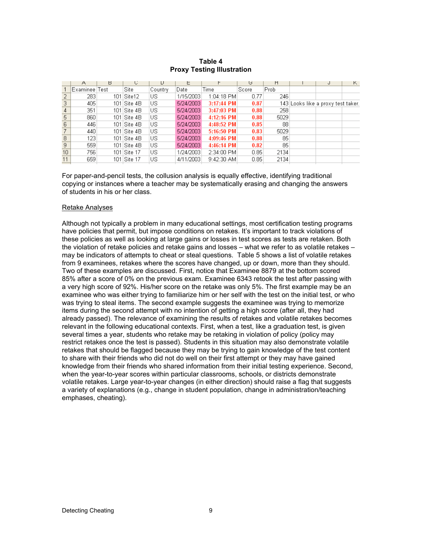#### **Table 4 Proxy Testing Illustration**

| 143 Looks like a proxy test taker. |
|------------------------------------|
|                                    |
|                                    |
|                                    |
|                                    |
|                                    |
|                                    |
|                                    |
|                                    |
|                                    |
|                                    |
|                                    |
|                                    |

For paper-and-pencil tests, the collusion analysis is equally effective, identifying traditional copying or instances where a teacher may be systematically erasing and changing the answers of students in his or her class.

#### Retake Analyses

Although not typically a problem in many educational settings, most certification testing programs have policies that permit, but impose conditions on retakes. It's important to track violations of these policies as well as looking at large gains or losses in test scores as tests are retaken. Both the violation of retake policies and retake gains and losses – what we refer to as volatile retakes – may be indicators of attempts to cheat or steal questions. Table 5 shows a list of volatile retakes from 9 examinees, retakes where the scores have changed, up or down, more than they should. Two of these examples are discussed. First, notice that Examinee 8879 at the bottom scored 85% after a score of 0% on the previous exam. Examinee 6343 retook the test after passing with a very high score of 92%. His/her score on the retake was only 5%. The first example may be an examinee who was either trying to familiarize him or her self with the test on the initial test, or who was trying to steal items. The second example suggests the examinee was trying to memorize items during the second attempt with no intention of getting a high score (after all, they had already passed). The relevance of examining the results of retakes and volatile retakes becomes relevant in the following educational contexts. First, when a test, like a graduation test, is given several times a year, students who retake may be retaking in violation of policy (policy may restrict retakes once the test is passed). Students in this situation may also demonstrate volatile retakes that should be flagged because they may be trying to gain knowledge of the test content to share with their friends who did not do well on their first attempt or they may have gained knowledge from their friends who shared information from their initial testing experience. Second, when the year-to-year scores within particular classrooms, schools, or districts demonstrate volatile retakes. Large year-to-year changes (in either direction) should raise a flag that suggests a variety of explanations (e.g., change in student population, change in administration/teaching emphases, cheating).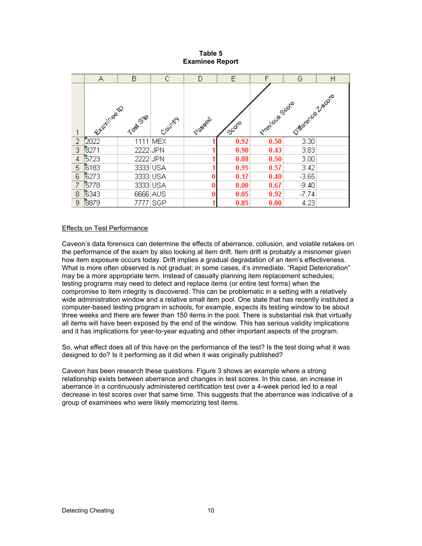## **Table 5 Examinee Report**

|                | А           | B        | C        | D     | E                | F              | G                | H |
|----------------|-------------|----------|----------|-------|------------------|----------------|------------------|---|
| $\mathbf{1}$   | Eleminee to | Test Ste | Country  | Passa | Sug <sup>o</sup> | Pretidues Core | Difference Zeans |   |
| $\overline{2}$ | 2022        |          | 1111 MEX |       | 0.92             | 0.50           | 3.30             |   |
| 3              | 8271        | 2222 JPN |          |       | 0.90             | 0.43           | 3.83             |   |
| 4              | 5723        | 2222 JPN |          |       | 0.88             | 0.50           | 3.00             |   |
| 5              | 6183        | 3333 USA |          |       | 0.95             | 0.57           | 3.42             |   |
| 6              | 6273        | 3333 USA |          |       | 0.17             | 0.40           | $-3.65$          |   |
| $\overline{7}$ | 5778        | 3333 USA |          |       | 0.00             | 0.67           | $-9.40$          |   |
| 8              | 6343        | 6666 AUS |          | 0     | 0.05             | 0.92           | $-7.74$          |   |
| 9              | 8879        |          | 7777 SGP |       | 0.85             | 0.00           | 4.23             |   |

## Effects on Test Performance

Caveon's data forensics can determine the effects of aberrance, collusion, and volatile retakes on the performance of the exam by also looking at item drift. Item drift is probably a misnomer given how item exposure occurs today. Drift implies a gradual degradation of an item's effectiveness. What is more often observed is not gradual; in some cases, it's immediate. "Rapid Deterioration" may be a more appropriate term. Instead of casually planning item replacement schedules; testing programs may need to detect and replace items (or entire test forms) when the compromise to item integrity is discovered. This can be problematic in a setting with a relatively wide administration window and a relative small item pool. One state that has recently instituted a computer-based testing program in schools, for example, expects its testing window to be about three weeks and there are fewer than 150 items in the pool. There is substantial risk that virtually all items will have been exposed by the end of the window. This has serious validity implications and it has implications for year-to-year equating and other important aspects of the program.

So, what effect does all of this have on the performance of the test? Is the test doing what it was designed to do? Is it performing as it did when it was originally published?

Caveon has been research these questions. Figure 3 shows an example where a strong relationship exists between aberrance and changes in test scores. In this case, an increase in aberrance in a continuously administered certification test over a 4-week period led to a real decrease in test scores over that same time. This suggests that the aberrance was indicative of a group of examinees who were likely memorizing test items.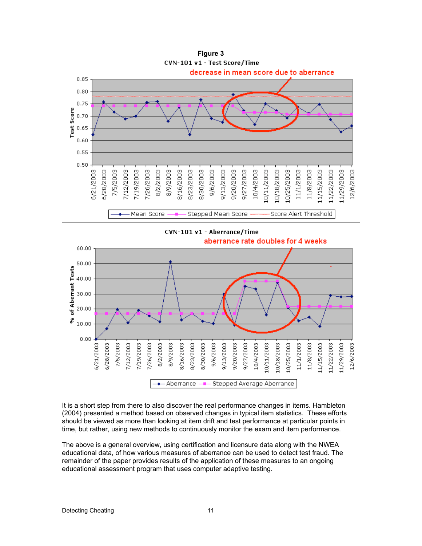



It is a short step from there to also discover the real performance changes in items. Hambleton (2004) presented a method based on observed changes in typical item statistics. These efforts should be viewed as more than looking at item drift and test performance at particular points in time, but rather, using new methods to continuously monitor the exam and item performance.

The above is a general overview, using certification and licensure data along with the NWEA educational data, of how various measures of aberrance can be used to detect test fraud. The remainder of the paper provides results of the application of these measures to an ongoing educational assessment program that uses computer adaptive testing.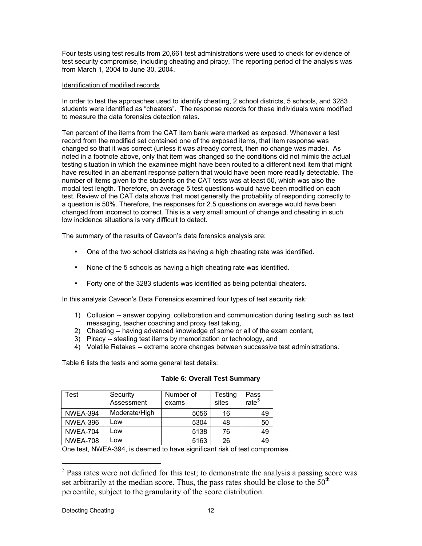Four tests using test results from 20,661 test administrations were used to check for evidence of test security compromise, including cheating and piracy. The reporting period of the analysis was from March 1, 2004 to June 30, 2004.

## Identification of modified records

In order to test the approaches used to identify cheating, 2 school districts, 5 schools, and 3283 students were identified as "cheaters". The response records for these individuals were modified to measure the data forensics detection rates.

Ten percent of the items from the CAT item bank were marked as exposed. Whenever a test record from the modified set contained one of the exposed items, that item response was changed so that it was correct (unless it was already correct, then no change was made). As noted in a footnote above, only that item was changed so the conditions did not mimic the actual testing situation in which the examinee might have been routed to a different next item that might have resulted in an aberrant response pattern that would have been more readily detectable. The number of items given to the students on the CAT tests was at least 50, which was also the modal test length. Therefore, on average 5 test questions would have been modified on each test. Review of the CAT data shows that most generally the probability of responding correctly to a question is 50%. Therefore, the responses for 2.5 questions on average would have been changed from incorrect to correct. This is a very small amount of change and cheating in such low incidence situations is very difficult to detect.

The summary of the results of Caveon's data forensics analysis are:

- One of the two school districts as having a high cheating rate was identified.
- None of the 5 schools as having a high cheating rate was identified.
- Forty one of the 3283 students was identified as being potential cheaters.

In this analysis Caveon's Data Forensics examined four types of test security risk:

- 1) Collusion -- answer copying, collaboration and communication during testing such as text messaging, teacher coaching and proxy test taking,
- 2) Cheating -- having advanced knowledge of some or all of the exam content,
- 3) Piracy -- stealing test items by memorization or technology, and
- 4) Volatile Retakes -- extreme score changes between successive test administrations.

Table 6 lists the tests and some general test details:

| Test            | Security<br>Assessment | Number of<br>exams | Testing<br>sites | Pass<br>rate <sup>5</sup> |
|-----------------|------------------------|--------------------|------------------|---------------------------|
| <b>NWEA-394</b> | Moderate/High          | 5056               | 16               | 49                        |
| <b>NWEA-396</b> | Low                    | 5304               | 48               | 50                        |
| <b>NWEA-704</b> | Low                    | 5138               | 76               | 49                        |
| <b>NWEA-708</b> | Low                    | 5163               | 26               | 49                        |

## **Table 6: Overall Test Summary**

One test, NWEA-394, is deemed to have significant risk of test compromise.

 $<sup>5</sup>$  Pass rates were not defined for this test; to demonstrate the analysis a passing score was</sup> set arbitrarily at the median score. Thus, the pass rates should be close to the  $50<sup>th</sup>$ percentile, subject to the granularity of the score distribution.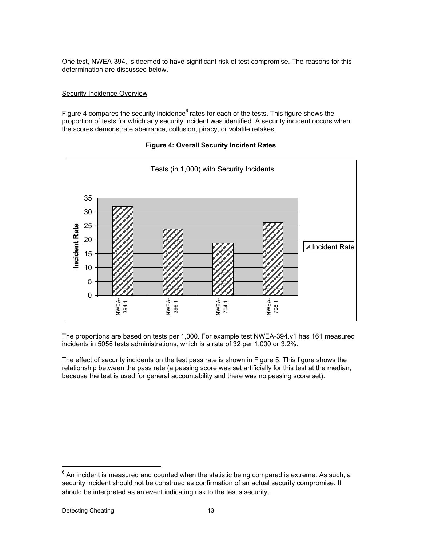One test, NWEA-394, is deemed to have significant risk of test compromise. The reasons for this determination are discussed below.

#### **Security Incidence Overview**

Figure 4 compares the security incidence<sup>6</sup> rates for each of the tests. This figure shows the proportion of tests for which any security incident was identified. A security incident occurs when the scores demonstrate aberrance, collusion, piracy, or volatile retakes.

# **Figure 4: Overall Security Incident Rates**



The proportions are based on tests per 1,000. For example test NWEA-394.v1 has 161 measured incidents in 5056 tests administrations, which is a rate of 32 per 1,000 or 3.2%.

The effect of security incidents on the test pass rate is shown in Figure 5. This figure shows the relationship between the pass rate (a passing score was set artificially for this test at the median, because the test is used for general accountability and there was no passing score set).

 $^6$  An incident is measured and counted when the statistic being compared is extreme. As such, a security incident should not be construed as confirmation of an actual security compromise. It should be interpreted as an event indicating risk to the test's security.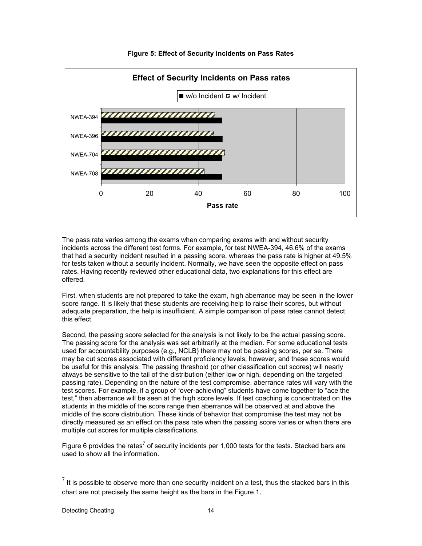

# **Figure 5: Effect of Security Incidents on Pass Rates**

The pass rate varies among the exams when comparing exams with and without security incidents across the different test forms. For example, for test NWEA-394, 46.6% of the exams that had a security incident resulted in a passing score, whereas the pass rate is higher at 49.5% for tests taken without a security incident. Normally, we have seen the opposite effect on pass rates. Having recently reviewed other educational data, two explanations for this effect are offered.

First, when students are not prepared to take the exam, high aberrance may be seen in the lower score range. It is likely that these students are receiving help to raise their scores, but without adequate preparation, the help is insufficient. A simple comparison of pass rates cannot detect this effect.

Second, the passing score selected for the analysis is not likely to be the actual passing score. The passing score for the analysis was set arbitrarily at the median. For some educational tests used for accountability purposes (e.g., NCLB) there may not be passing scores, per se. There may be cut scores associated with different proficiency levels, however, and these scores would be useful for this analysis. The passing threshold (or other classification cut scores) will nearly always be sensitive to the tail of the distribution (either low or high, depending on the targeted passing rate). Depending on the nature of the test compromise, aberrance rates will vary with the test scores. For example, if a group of "over-achieving" students have come together to "ace the test," then aberrance will be seen at the high score levels. If test coaching is concentrated on the students in the middle of the score range then aberrance will be observed at and above the middle of the score distribution. These kinds of behavior that compromise the test may not be directly measured as an effect on the pass rate when the passing score varies or when there are multiple cut scores for multiple classifications.

Figure 6 provides the rates<sup>7</sup> of security incidents per 1,000 tests for the tests. Stacked bars are used to show all the information.

 $<sup>7</sup>$  It is possible to observe more than one security incident on a test, thus the stacked bars in this</sup> chart are not precisely the same height as the bars in the Figure 1.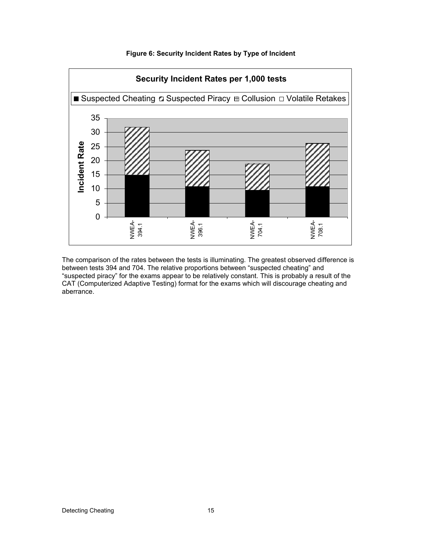

# **Figure 6: Security Incident Rates by Type of Incident**

The comparison of the rates between the tests is illuminating. The greatest observed difference is between tests 394 and 704. The relative proportions between "suspected cheating" and "suspected piracy" for the exams appear to be relatively constant. This is probably a result of the CAT (Computerized Adaptive Testing) format for the exams which will discourage cheating and aberrance.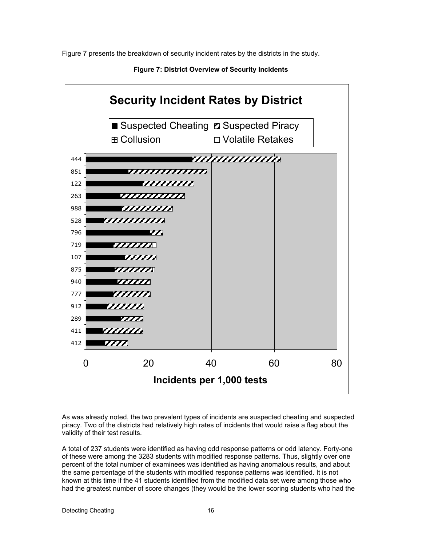Figure 7 presents the breakdown of security incident rates by the districts in the study.



**Figure 7: District Overview of Security Incidents**

As was already noted, the two prevalent types of incidents are suspected cheating and suspected piracy. Two of the districts had relatively high rates of incidents that would raise a flag about the validity of their test results.

A total of 237 students were identified as having odd response patterns or odd latency. Forty-one of these were among the 3283 students with modified response patterns. Thus, slightly over one percent of the total number of examinees was identified as having anomalous results, and about the same percentage of the students with modified response patterns was identified. It is not known at this time if the 41 students identified from the modified data set were among those who had the greatest number of score changes (they would be the lower scoring students who had the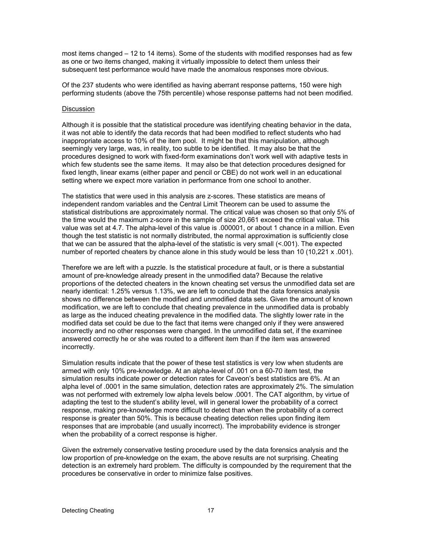most items changed – 12 to 14 items). Some of the students with modified responses had as few as one or two items changed, making it virtually impossible to detect them unless their subsequent test performance would have made the anomalous responses more obvious.

Of the 237 students who were identified as having aberrant response patterns, 150 were high performing students (above the 75th percentile) whose response patterns had not been modified.

#### Discussion

Although it is possible that the statistical procedure was identifying cheating behavior in the data, it was not able to identify the data records that had been modified to reflect students who had inappropriate access to 10% of the item pool. It might be that this manipulation, although seemingly very large, was, in reality, too subtle to be identified. It may also be that the procedures designed to work with fixed-form examinations don't work well with adaptive tests in which few students see the same items. It may also be that detection procedures designed for fixed length, linear exams (either paper and pencil or CBE) do not work well in an educational setting where we expect more variation in performance from one school to another.

The statistics that were used in this analysis are z-scores. These statistics are means of independent random variables and the Central Limit Theorem can be used to assume the statistical distributions are approximately normal. The critical value was chosen so that only 5% of the time would the maximum z-score in the sample of size 20,661 exceed the critical value. This value was set at 4.7. The alpha-level of this value is .000001, or about 1 chance in a million. Even though the test statistic is not normally distributed, the normal approximation is sufficiently close that we can be assured that the alpha-level of the statistic is very small (<.001). The expected number of reported cheaters by chance alone in this study would be less than 10 (10,221 x .001).

Therefore we are left with a puzzle. Is the statistical procedure at fault, or is there a substantial amount of pre-knowledge already present in the unmodified data? Because the relative proportions of the detected cheaters in the known cheating set versus the unmodified data set are nearly identical: 1.25% versus 1.13%, we are left to conclude that the data forensics analysis shows no difference between the modified and unmodified data sets. Given the amount of known modification, we are left to conclude that cheating prevalence in the unmodified data is probably as large as the induced cheating prevalence in the modified data. The slightly lower rate in the modified data set could be due to the fact that items were changed only if they were answered incorrectly and no other responses were changed. In the unmodified data set, if the examinee answered correctly he or she was routed to a different item than if the item was answered incorrectly.

Simulation results indicate that the power of these test statistics is very low when students are armed with only 10% pre-knowledge. At an alpha-level of .001 on a 60-70 item test, the simulation results indicate power or detection rates for Caveon's best statistics are 6%. At an alpha level of .0001 in the same simulation, detection rates are approximately 2%. The simulation was not performed with extremely low alpha levels below .0001. The CAT algorithm, by virtue of adapting the test to the student's ability level, will in general lower the probability of a correct response, making pre-knowledge more difficult to detect than when the probability of a correct response is greater than 50%. This is because cheating detection relies upon finding item responses that are improbable (and usually incorrect). The improbability evidence is stronger when the probability of a correct response is higher.

Given the extremely conservative testing procedure used by the data forensics analysis and the low proportion of pre-knowledge on the exam, the above results are not surprising. Cheating detection is an extremely hard problem. The difficulty is compounded by the requirement that the procedures be conservative in order to minimize false positives.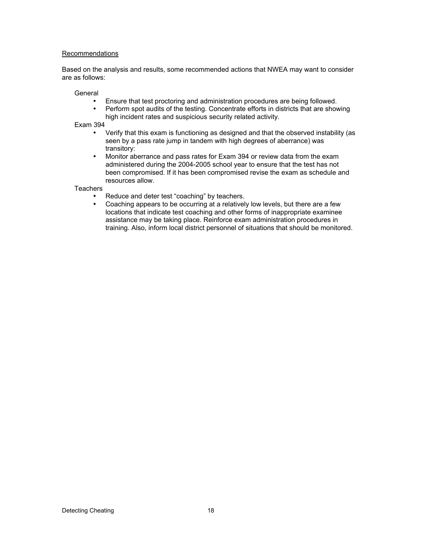## Recommendations

Based on the analysis and results, some recommended actions that NWEA may want to consider are as follows:

General

- Ensure that test proctoring and administration procedures are being followed.<br>• Perform spot audits of the testing. Concentrate efforts in districts that are show
- Perform spot audits of the testing. Concentrate efforts in districts that are showing high incident rates and suspicious security related activity.

Exam 394

- Verify that this exam is functioning as designed and that the observed instability (as seen by a pass rate jump in tandem with high degrees of aberrance) was transitory:
- Monitor aberrance and pass rates for Exam 394 or review data from the exam administered during the 2004-2005 school year to ensure that the test has not been compromised. If it has been compromised revise the exam as schedule and resources allow.

**Teachers** 

- Reduce and deter test "coaching" by teachers.<br>• Coaching appears to be occurring at a relatively
- Coaching appears to be occurring at a relatively low levels, but there are a few locations that indicate test coaching and other forms of inappropriate examinee assistance may be taking place. Reinforce exam administration procedures in training. Also, inform local district personnel of situations that should be monitored.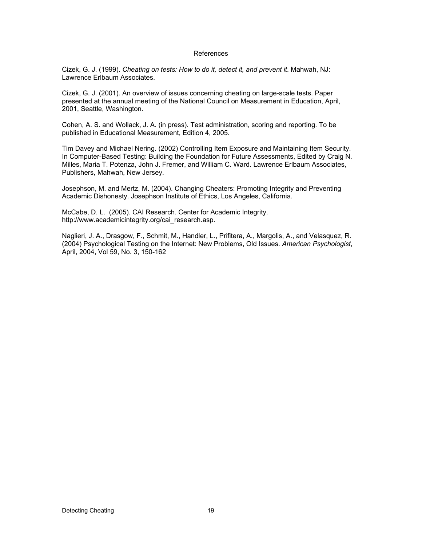#### References

Cizek, G. J. (1999). *Cheating on tests: How to do it, detect it, and prevent it*. Mahwah, NJ: Lawrence Erlbaum Associates.

Cizek, G. J. (2001). An overview of issues concerning cheating on large-scale tests. Paper presented at the annual meeting of the National Council on Measurement in Education, April, 2001, Seattle, Washington.

Cohen, A. S. and Wollack, J. A. (in press). Test administration, scoring and reporting. To be published in Educational Measurement, Edition 4, 2005.

Tim Davey and Michael Nering. (2002) Controlling Item Exposure and Maintaining Item Security. In Computer-Based Testing: Building the Foundation for Future Assessments, Edited by Craig N. Milles, Maria T. Potenza, John J. Fremer, and William C. Ward. Lawrence Erlbaum Associates, Publishers, Mahwah, New Jersey.

Josephson, M. and Mertz, M. (2004). Changing Cheaters: Promoting Integrity and Preventing Academic Dishonesty. Josephson Institute of Ethics, Los Angeles, California.

McCabe, D. L. (2005). CAI Research. Center for Academic Integrity. http://www.academicintegrity.org/cai\_research.asp.

Naglieri, J. A., Drasgow, F., Schmit, M., Handler, L., Prifitera, A., Margolis, A., and Velasquez, R. (2004) Psychological Testing on the Internet: New Problems, Old Issues. *American Psychologist*, April, 2004, Vol 59, No. 3, 150-162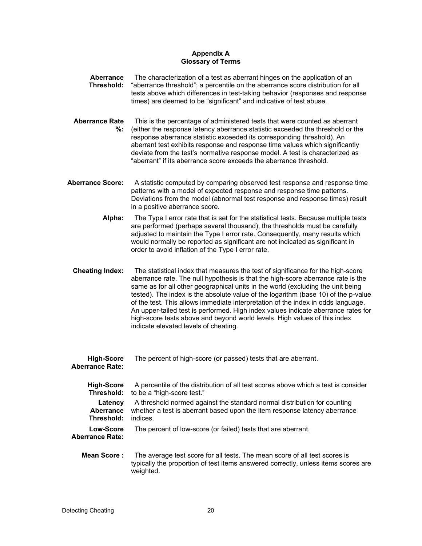# **Appendix A Glossary of Terms**

- **Aberrance Threshold:** The characterization of a test as aberrant hinges on the application of an "aberrance threshold"; a percentile on the aberrance score distribution for all tests above which differences in test-taking behavior (responses and response times) are deemed to be "significant" and indicative of test abuse.
- **Aberrance Rate %:** This is the percentage of administered tests that were counted as aberrant (either the response latency aberrance statistic exceeded the threshold or the response aberrance statistic exceeded its corresponding threshold). An aberrant test exhibits response and response time values which significantly deviate from the test's normative response model. A test is characterized as "aberrant" if its aberrance score exceeds the aberrance threshold.
- **Aberrance Score:** A statistic computed by comparing observed test response and response time patterns with a model of expected response and response time patterns. Deviations from the model (abnormal test response and response times) result in a positive aberrance score.
	- **Alpha:** The Type I error rate that is set for the statistical tests. Because multiple tests are performed (perhaps several thousand), the thresholds must be carefully adjusted to maintain the Type I error rate. Consequently, many results which would normally be reported as significant are not indicated as significant in order to avoid inflation of the Type I error rate.
	- **Cheating Index:** The statistical index that measures the test of significance for the high-score aberrance rate. The null hypothesis is that the high-score aberrance rate is the same as for all other geographical units in the world (excluding the unit being tested). The index is the absolute value of the logarithm (base 10) of the p-value of the test. This allows immediate interpretation of the index in odds language. An upper-tailed test is performed. High index values indicate aberrance rates for high-score tests above and beyond world levels. High values of this index indicate elevated levels of cheating.

**High-Score** The percent of high-score (or passed) toote that are aberrant

| <b>High-Score</b><br><b>Aberrance Rate:</b> | The percent of high-score (or passed) tests that are aberrant.                                                                                                    |
|---------------------------------------------|-------------------------------------------------------------------------------------------------------------------------------------------------------------------|
| <b>High-Score</b><br>Threshold:             | A percentile of the distribution of all test scores above which a test is consider<br>to be a "high-score test."                                                  |
| Latency<br>Aberrance<br>Threshold:          | A threshold normed against the standard normal distribution for counting<br>whether a test is aberrant based upon the item response latency aberrance<br>indices. |
| Low-Score<br><b>Aberrance Rate:</b>         | The percent of low-score (or failed) tests that are aberrant.                                                                                                     |
|                                             |                                                                                                                                                                   |

**Mean Score :** The average test score for all tests. The mean score of all test scores is typically the proportion of test items answered correctly, unless items scores are weighted.